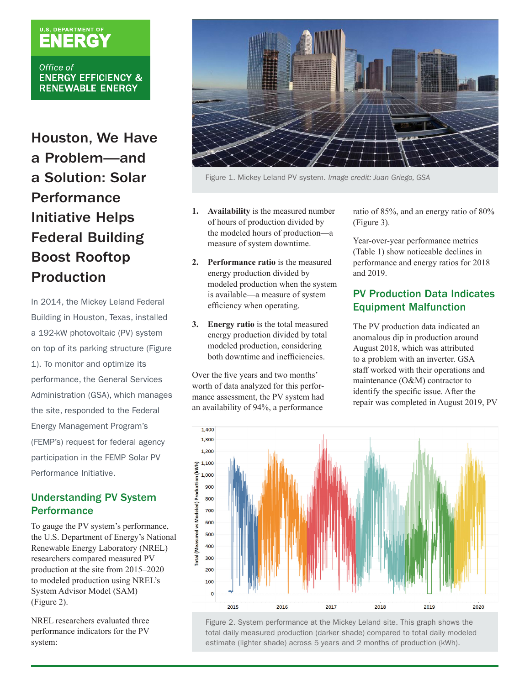# U.S. DEPARTMENT OF

Office of **ENERGY EFFICIENCY & RENEWABLE ENERGY** 

Houston, We Have a Problem—and a Solution: Solar **Performance** Initiative Helps Federal Building Boost Rooftop Production

In 2014, the Mickey Leland Federal Building in Houston, Texas, installed a 192-kW photovoltaic (PV) system on top of its parking structure (Figure 1). To monitor and optimize its performance, the General Services Administration (GSA), which manages the site, responded to the Federal Energy Management Program's (FEMP's) request for federal agency participation in the FEMP Solar PV Performance Initiative.

## Understanding PV System **Performance**

To gauge the PV system's performance, the U.S. Department of Energy's National Renewable Energy Laboratory (NREL) researchers compared measured PV production at the site from 2015–2020 to modeled production using NREL's System Advisor Model (SAM) (Figure 2).

NREL researchers evaluated three performance indicators for the PV system:



Figure 1. Mickey Leland PV system. *Image credit: Juan Griego, GSA*

- **1. Availability** is the measured number of hours of production divided by the modeled hours of production—a measure of system downtime.
- **2. Performance ratio** is the measured energy production divided by modeled production when the system is available—a measure of system efficiency when operating.
- **3. Energy ratio** is the total measured energy production divided by total modeled production, considering both downtime and inefficiencies.

Over the five years and two months' worth of data analyzed for this performance assessment, the PV system had an availability of 94%, a performance ratio of 85%, and an energy ratio of 80% (Figure 3).

Year-over-year performance metrics (Table 1) show noticeable declines in performance and energy ratios for 2018 and 2019.

## PV Production Data Indicates Equipment Malfunction

The PV production data indicated an anomalous dip in production around August 2018, which was attributed to a problem with an inverter. GSA staff worked with their operations and maintenance (O&M) contractor to identify the specific issue. After the repair was completed in August 2019, PV



Figure 2. System performance at the Mickey Leland site. This graph shows the total daily measured production (darker shade) compared to total daily modeled estimate (lighter shade) across 5 years and 2 months of production (kWh).